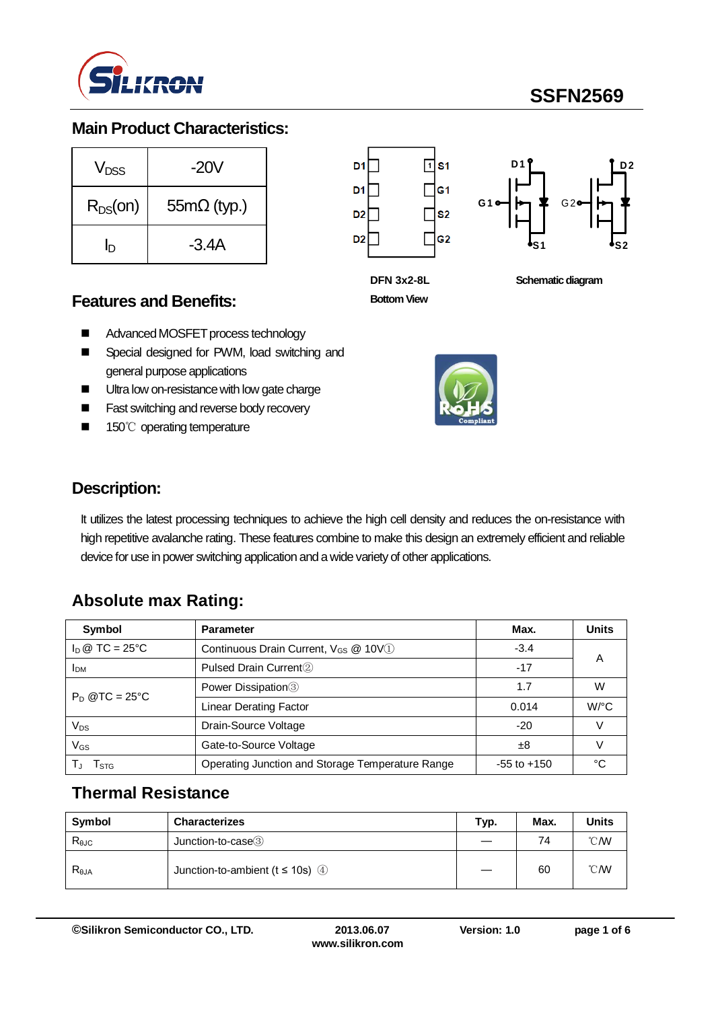

# **SSFN2569**

### **Main Product Characteristics:**

| V <sub>DSS</sub> | -20V               |  |  |
|------------------|--------------------|--|--|
| $R_{DS}(on)$     | $55m\Omega$ (typ.) |  |  |
| In               | $-3.4A$            |  |  |





**DFN 3x2-8L Bottom View**

**Schematic diagram** 

### **Features and Benefits:**

- Advanced MOSFET process technology
- Special designed for PWM, load switching and general purpose applications
- **Ultra low on-resistance with low gate charge**
- **Fast switching and reverse body recovery**
- 150℃ operating temperature



### **Description:**

It utilizes the latest processing techniques to achieve the high cell density and reduces the on-resistance with high repetitive avalanche rating. These features combine to make this design an extremely efficient and reliable device for use in power switching application and a wide variety of other applications.

### **Absolute max Rating:**

| Symbol            | <b>Parameter</b>                                 | Max.            | <b>Units</b> |  |
|-------------------|--------------------------------------------------|-----------------|--------------|--|
| $I_D @ TC = 25°C$ | Continuous Drain Current, V <sub>GS</sub> @ 10V1 | $-3.4$          |              |  |
| <b>I</b> DM       | Pulsed Drain Current <sup>2</sup>                | $-17$           | A            |  |
|                   | Power Dissipation <sup>3</sup>                   | 1.7             | W            |  |
| $P_D$ @TC = 25°C  | Linear Derating Factor                           | 0.014           | $W$ /°C      |  |
| Vps               | Drain-Source Voltage                             | $-20$           |              |  |
| $V_{GS}$          | Gate-to-Source Voltage                           | ±8              |              |  |
| I stg             | Operating Junction and Storage Temperature Range | $-55$ to $+150$ | °∩           |  |

### **Thermal Resistance**

| Symbol         | <b>Characterizes</b>                  | Typ. | Max. | <b>Units</b>   |
|----------------|---------------------------------------|------|------|----------------|
| $R_{\theta$ JC | Junction-to-case3                     |      | 74   | $^{\circ}$ CMV |
| $R_{\theta$ JA | Junction-to-ambient ( $t \le 10$ s) 4 |      | 60   | $^{\circ}$ CMV |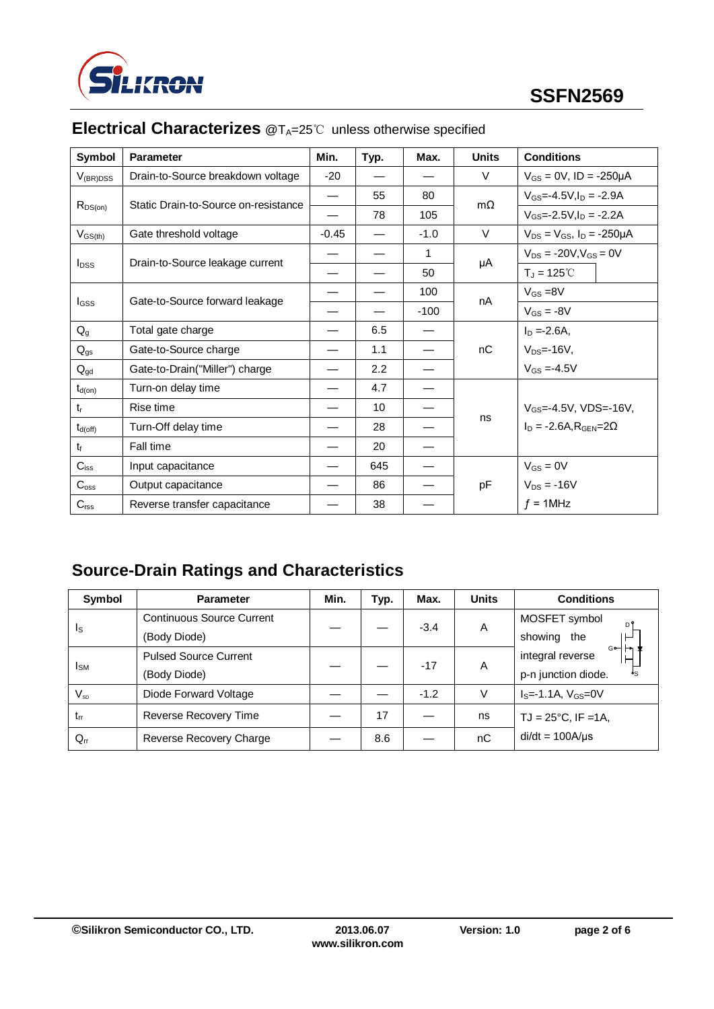

| Symbol                  | <b>Parameter</b>                     | Min.                     | Typ. | Max.   | <b>Units</b> | <b>Conditions</b>                          |
|-------------------------|--------------------------------------|--------------------------|------|--------|--------------|--------------------------------------------|
| $V_{(BR)DSS}$           | Drain-to-Source breakdown voltage    | $-20$                    |      |        | V            | $V_{GS} = 0V$ , ID = -250µA                |
|                         | Static Drain-to-Source on-resistance | $\overline{\phantom{0}}$ | 55   | 80     | $m\Omega$    | $V_{GS} = -4.5V, I_D = -2.9A$              |
| $R_{DS(on)}$            |                                      |                          | 78   | 105    |              | $V_{GS} = -2.5V$ , $I_D = -2.2A$           |
| $V_{GS(th)}$            | Gate threshold voltage               | $-0.45$                  |      | $-1.0$ | $\vee$       | $V_{DS} = V_{GS}$ , $I_D = -250 \mu A$     |
|                         |                                      |                          |      | 1      |              | $V_{DS} = -20V$ , $V_{GS} = 0V$            |
| <b>I</b> <sub>pss</sub> | Drain-to-Source leakage current      |                          |      | 50     | μA           | $T_J = 125^{\circ}C$                       |
|                         |                                      |                          |      | 100    |              | $V_{GS} = 8V$                              |
| lgss                    | Gate-to-Source forward leakage       |                          |      | $-100$ | nA           | $V_{GS} = -8V$                             |
| $Q_{q}$                 | Total gate charge                    |                          | 6.5  |        |              | $I_D = -2.6A$ ,                            |
| $Q_{gs}$                | Gate-to-Source charge                |                          | 1.1  |        | nC           | $V_{DS} = -16V$ ,                          |
| $Q_{gd}$                | Gate-to-Drain("Miller") charge       |                          | 2.2  |        |              | $V_{GS} = -4.5V$                           |
| $t_{d(on)}$             | Turn-on delay time                   |                          | 4.7  |        |              |                                            |
| $t_{r}$                 | Rise time                            |                          | 10   |        |              | $V_{GS} = -4.5V$ , VDS=-16V,               |
| $t_{d(off)}$            | Turn-Off delay time                  |                          | 28   |        | ns           | $I_D = -2.6A$ , $R_{\text{GEN}} = 2\Omega$ |
| $t_{\rm f}$             | Fall time                            |                          | 20   |        |              |                                            |
| $C_{iss}$               | Input capacitance                    |                          | 645  |        |              | $V_{GS} = 0V$                              |
| $C_{\rm oss}$           | Output capacitance                   |                          | 86   |        | pF           | $V_{DS} = -16V$                            |
| $C_{\text{rss}}$        | Reverse transfer capacitance         |                          | 38   |        |              | $f = 1$ MHz                                |

# **Electrical Characterizes** @T<sub>A</sub>=25℃ unless otherwise specified

# **Source-Drain Ratings and Characteristics**

| Symbol                     | <b>Parameter</b>                 | Min. | Typ. | Max.   | <b>Units</b> | <b>Conditions</b>                               |
|----------------------------|----------------------------------|------|------|--------|--------------|-------------------------------------------------|
|                            | <b>Continuous Source Current</b> |      |      | $-3.4$ | Α            | MOSFET symbol                                   |
| Is                         | (Body Diode)                     |      |      |        |              | showing the                                     |
| <b>I</b> <sub>SM</sub>     | <b>Pulsed Source Current</b>     |      |      | $-17$  | A            | $G \rightarrow \rightarrow$<br>integral reverse |
|                            | (Body Diode)                     |      |      |        |              | p-n junction diode.                             |
| $\mathsf{V}_{\mathsf{SD}}$ | Diode Forward Voltage            |      |      | $-1.2$ | V            | $IS=-1.1A, VGS=0V$                              |
| $t_{rr}$                   | Reverse Recovery Time            |      | 17   |        | ns           | $TJ = 25^{\circ}C$ , IF = 1A,                   |
| $Q_{rr}$                   | Reverse Recovery Charge          |      | 8.6  |        | nC           | $di/dt = 100A/\mu s$                            |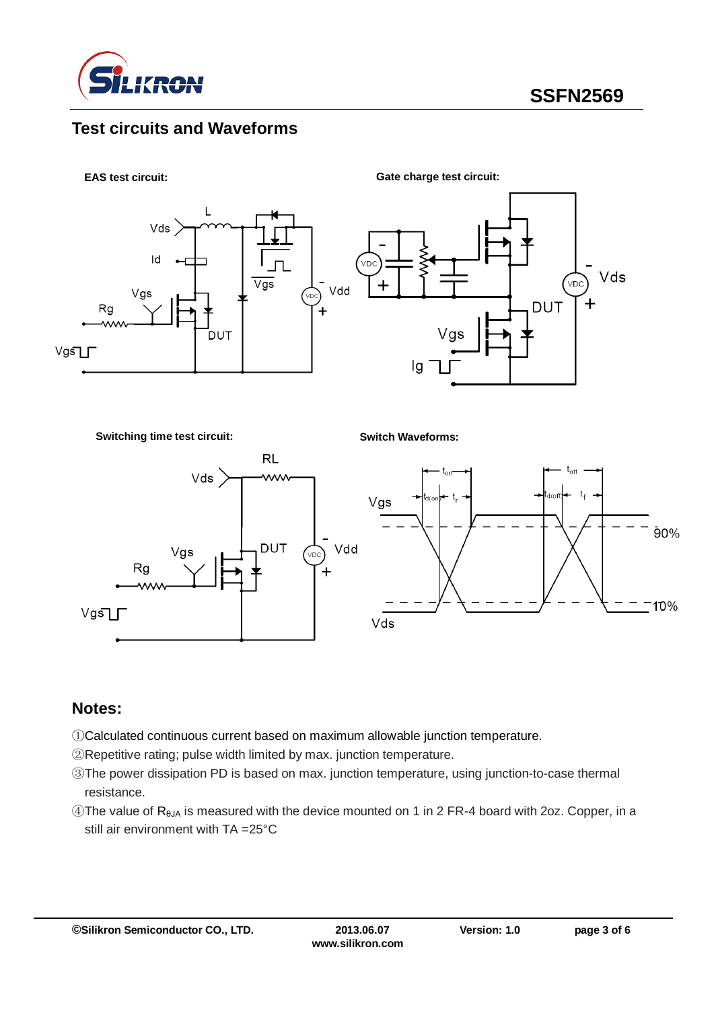

# **Test circuits and Waveforms**



**Switching time test circuit:**

**Switch Waveforms:**



#### **Notes:**

- ①Calculated continuous current based on maximum allowable junction temperature.
- ②Repetitive rating; pulse width limited by max. junction temperature.
- ③The power dissipation PD is based on max. junction temperature, using junction-to-case thermal resistance.
- $\circledA$ The value of R<sub>θJA</sub> is measured with the device mounted on 1 in 2 FR-4 board with 2oz. Copper, in a still air environment with TA =25°C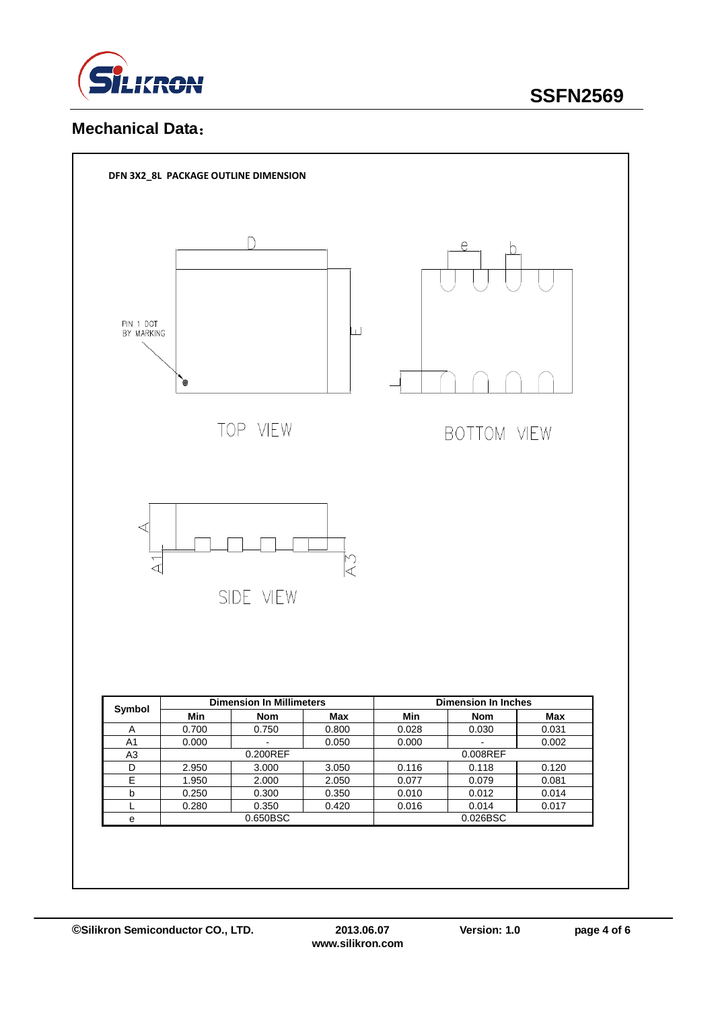

### **Mechanical Data**:

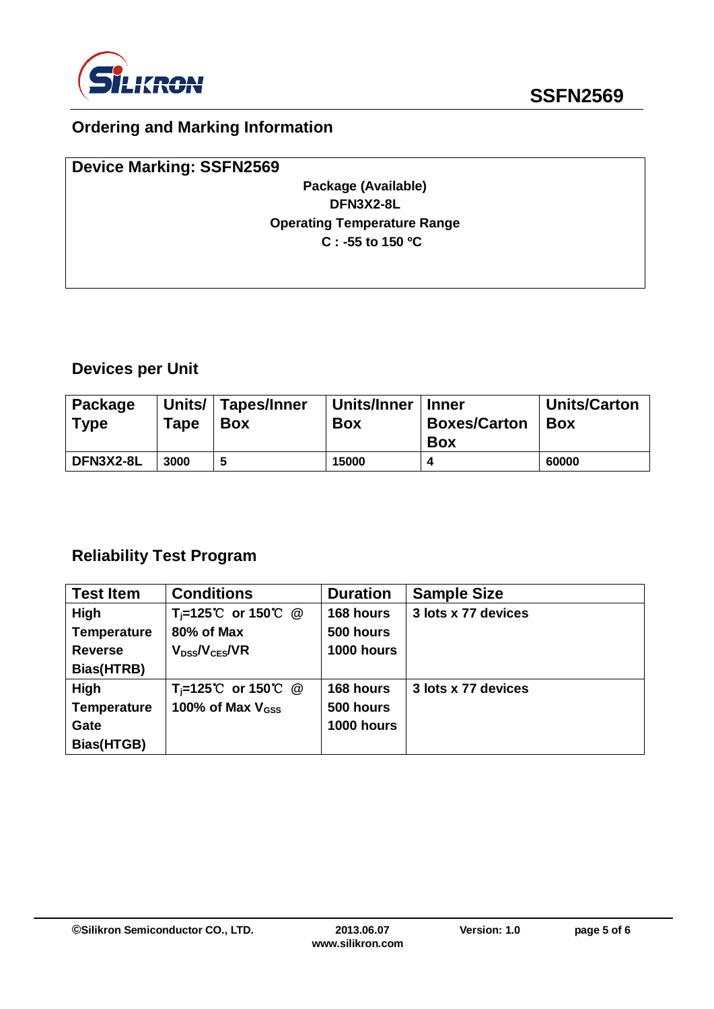

# **Ordering and Marking Information**

| <b>Device Marking: SSFN2569</b>    |  |
|------------------------------------|--|
| Package (Available)                |  |
| DFN3X2-8L                          |  |
| <b>Operating Temperature Range</b> |  |
| $C: -55$ to 150 °C                 |  |
|                                    |  |
|                                    |  |

# **Devices per Unit**

| Package<br><b>Type</b> | Units/<br>Tape | Tapes/Inner<br><b>Box</b> | Units/Inner<br><b>Box</b> | <b>Inner</b><br><b>Boxes/Carton</b><br>Box | <b>Units/Carton</b><br><b>Box</b> |
|------------------------|----------------|---------------------------|---------------------------|--------------------------------------------|-----------------------------------|
| DFN3X2-8L              | 3000           |                           | 15000                     |                                            | 60000                             |

# **Reliability Test Program**

| <b>Test Item</b>   | <b>Conditions</b>              | <b>Duration</b> | <b>Sample Size</b>  |
|--------------------|--------------------------------|-----------------|---------------------|
| High               | $T_i=125^{\circ}C$ or 150 °C @ | 168 hours       | 3 lots x 77 devices |
| <b>Temperature</b> | 80% of Max                     | 500 hours       |                     |
| <b>Reverse</b>     | $V_{DS}$ / $V_{CES}$ /VR       | 1000 hours      |                     |
| Bias(HTRB)         |                                |                 |                     |
| High               | T <sub>i</sub> =125℃ or 150℃ @ | 168 hours       | 3 lots x 77 devices |
| <b>Temperature</b> | 100% of Max $V_{GSS}$          | 500 hours       |                     |
| Gate               |                                | 1000 hours      |                     |
| Bias(HTGB)         |                                |                 |                     |